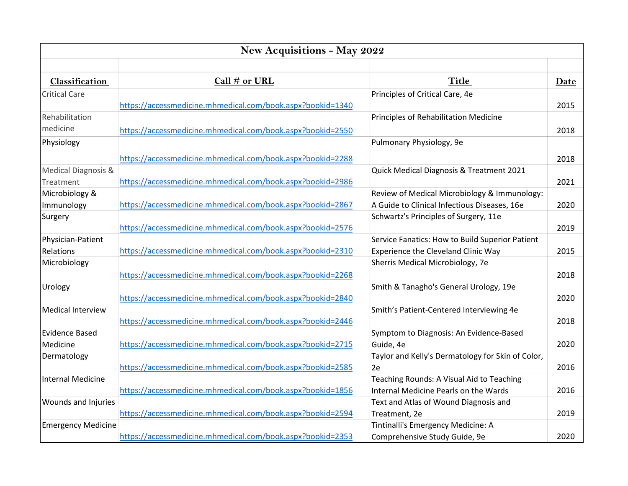| New Acquisitions - May 2022 |                                                            |                                                   |      |  |  |
|-----------------------------|------------------------------------------------------------|---------------------------------------------------|------|--|--|
| Classification              | Call # or URL                                              | <b>Title</b>                                      | Date |  |  |
| <b>Critical Care</b>        |                                                            | Principles of Critical Care, 4e                   |      |  |  |
|                             | https://accessmedicine.mhmedical.com/book.aspx?bookid=1340 |                                                   | 2015 |  |  |
| Rehabilitation              |                                                            | Principles of Rehabilitation Medicine             |      |  |  |
| medicine                    | https://accessmedicine.mhmedical.com/book.aspx?bookid=2550 |                                                   | 2018 |  |  |
| Physiology                  |                                                            | Pulmonary Physiology, 9e                          |      |  |  |
|                             |                                                            |                                                   |      |  |  |
|                             | https://accessmedicine.mhmedical.com/book.aspx?bookid=2288 |                                                   | 2018 |  |  |
| Medical Diagnosis &         |                                                            | Quick Medical Diagnosis & Treatment 2021          |      |  |  |
| Treatment                   | https://accessmedicine.mhmedical.com/book.aspx?bookid=2986 |                                                   | 2021 |  |  |
| Microbiology &              |                                                            | Review of Medical Microbiology & Immunology:      |      |  |  |
| Immunology                  | https://accessmedicine.mhmedical.com/book.aspx?bookid=2867 | A Guide to Clinical Infectious Diseases, 16e      | 2020 |  |  |
| Surgery                     |                                                            | Schwartz's Principles of Surgery, 11e             |      |  |  |
|                             | https://accessmedicine.mhmedical.com/book.aspx?bookid=2576 |                                                   | 2019 |  |  |
| Physician-Patient           |                                                            | Service Fanatics: How to Build Superior Patient   |      |  |  |
| Relations                   | https://accessmedicine.mhmedical.com/book.aspx?bookid=2310 | Experience the Cleveland Clinic Way               | 2015 |  |  |
| Microbiology                |                                                            | Sherris Medical Microbiology, 7e                  |      |  |  |
|                             | https://accessmedicine.mhmedical.com/book.aspx?bookid=2268 |                                                   | 2018 |  |  |
| Urology                     |                                                            | Smith & Tanagho's General Urology, 19e            |      |  |  |
|                             | https://accessmedicine.mhmedical.com/book.aspx?bookid=2840 |                                                   | 2020 |  |  |
| <b>Medical Interview</b>    |                                                            | Smith's Patient-Centered Interviewing 4e          |      |  |  |
|                             | https://accessmedicine.mhmedical.com/book.aspx?bookid=2446 |                                                   | 2018 |  |  |
| <b>Evidence Based</b>       |                                                            | Symptom to Diagnosis: An Evidence-Based           |      |  |  |
| Medicine                    | https://accessmedicine.mhmedical.com/book.aspx?bookid=2715 | Guide, 4e                                         | 2020 |  |  |
| Dermatology                 |                                                            | Taylor and Kelly's Dermatology for Skin of Color, |      |  |  |
|                             | https://accessmedicine.mhmedical.com/book.aspx?bookid=2585 | 2e                                                | 2016 |  |  |
| <b>Internal Medicine</b>    |                                                            | Teaching Rounds: A Visual Aid to Teaching         |      |  |  |
|                             | https://accessmedicine.mhmedical.com/book.aspx?bookid=1856 | <b>Internal Medicine Pearls on the Wards</b>      | 2016 |  |  |
| Wounds and Injuries         |                                                            | Text and Atlas of Wound Diagnosis and             |      |  |  |
|                             | https://accessmedicine.mhmedical.com/book.aspx?bookid=2594 | Treatment, 2e                                     | 2019 |  |  |
| <b>Emergency Medicine</b>   |                                                            | Tintinalli's Emergency Medicine: A                |      |  |  |
|                             | https://accessmedicine.mhmedical.com/book.aspx?bookid=2353 | Comprehensive Study Guide, 9e                     | 2020 |  |  |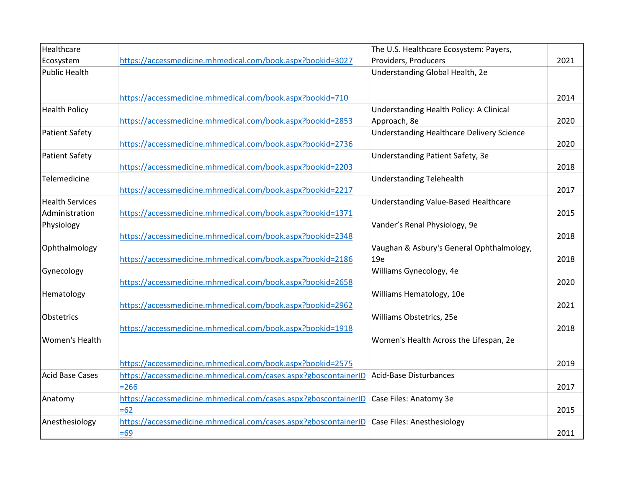| Healthcare             |                                                                 | The U.S. Healthcare Ecosystem: Payers,           |      |
|------------------------|-----------------------------------------------------------------|--------------------------------------------------|------|
| Ecosystem              | https://accessmedicine.mhmedical.com/book.aspx?bookid=3027      | Providers, Producers                             | 2021 |
| <b>Public Health</b>   |                                                                 | Understanding Global Health, 2e                  |      |
|                        |                                                                 |                                                  |      |
|                        | https://accessmedicine.mhmedical.com/book.aspx?bookid=710       |                                                  | 2014 |
| <b>Health Policy</b>   |                                                                 | Understanding Health Policy: A Clinical          |      |
|                        | https://accessmedicine.mhmedical.com/book.aspx?bookid=2853      | Approach, 8e                                     | 2020 |
| <b>Patient Safety</b>  |                                                                 | <b>Understanding Healthcare Delivery Science</b> |      |
|                        | https://accessmedicine.mhmedical.com/book.aspx?bookid=2736      |                                                  | 2020 |
| <b>Patient Safety</b>  |                                                                 | Understanding Patient Safety, 3e                 |      |
|                        | https://accessmedicine.mhmedical.com/book.aspx?bookid=2203      |                                                  | 2018 |
| Telemedicine           |                                                                 | <b>Understanding Telehealth</b>                  |      |
|                        | https://accessmedicine.mhmedical.com/book.aspx?bookid=2217      |                                                  | 2017 |
| <b>Health Services</b> |                                                                 | Understanding Value-Based Healthcare             |      |
| Administration         | https://accessmedicine.mhmedical.com/book.aspx?bookid=1371      |                                                  | 2015 |
| Physiology             |                                                                 | Vander's Renal Physiology, 9e                    |      |
|                        | https://accessmedicine.mhmedical.com/book.aspx?bookid=2348      |                                                  | 2018 |
| Ophthalmology          |                                                                 | Vaughan & Asbury's General Ophthalmology,        |      |
|                        | https://accessmedicine.mhmedical.com/book.aspx?bookid=2186      | 19e                                              | 2018 |
| Gynecology             | https://accessmedicine.mhmedical.com/book.aspx?bookid=2658      | Williams Gynecology, 4e                          | 2020 |
| Hematology             |                                                                 | Williams Hematology, 10e                         |      |
|                        | https://accessmedicine.mhmedical.com/book.aspx?bookid=2962      |                                                  | 2021 |
| Obstetrics             |                                                                 | Williams Obstetrics, 25e                         |      |
|                        | https://accessmedicine.mhmedical.com/book.aspx?bookid=1918      |                                                  | 2018 |
| Women's Health         |                                                                 | Women's Health Across the Lifespan, 2e           |      |
|                        |                                                                 |                                                  |      |
|                        | https://accessmedicine.mhmedical.com/book.aspx?bookid=2575      |                                                  | 2019 |
| <b>Acid Base Cases</b> | https://accessmedicine.mhmedical.com/cases.aspx?gboscontainerID | <b>Acid-Base Disturbances</b>                    |      |
|                        | $= 266$                                                         |                                                  | 2017 |
| Anatomy                | https://accessmedicine.mhmedical.com/cases.aspx?gboscontainerID | Case Files: Anatomy 3e                           |      |
|                        | $=62$                                                           |                                                  | 2015 |
| Anesthesiology         | https://accessmedicine.mhmedical.com/cases.aspx?gboscontainerID | <b>Case Files: Anesthesiology</b>                |      |
|                        | $=69$                                                           |                                                  | 2011 |